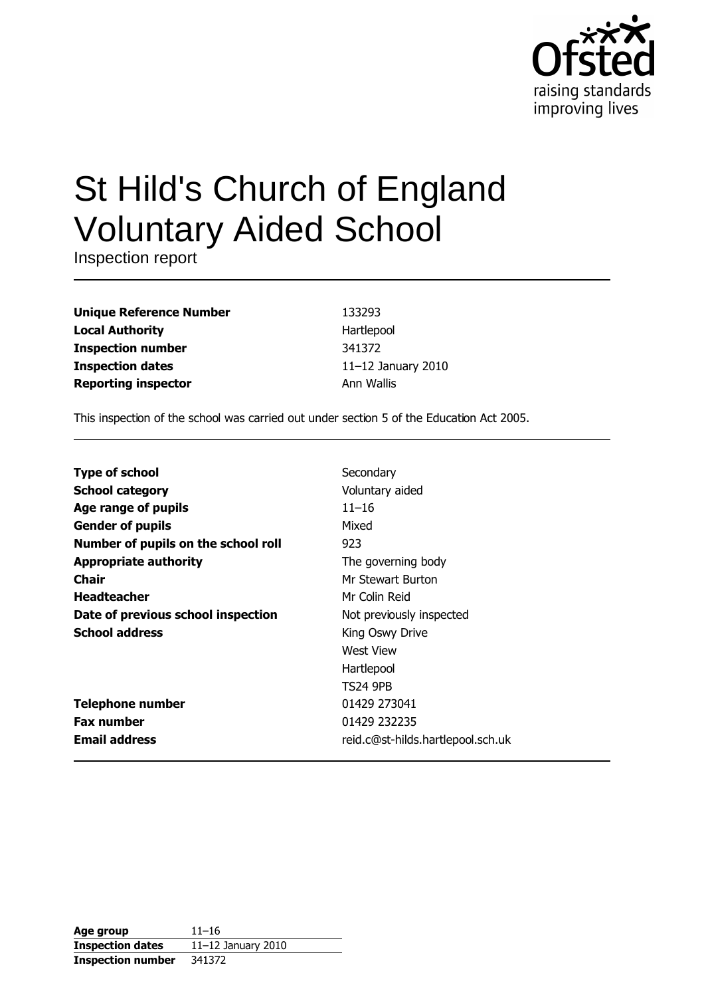

# St Hild's Church of England **Voluntary Aided School**

Inspection report

| <b>Unique Reference Number</b> |
|--------------------------------|
| <b>Local Authority</b>         |
| <b>Inspection number</b>       |
| <b>Inspection dates</b>        |
| <b>Reporting inspector</b>     |

133293 Hartlepool 341372 11-12 January 2010 Ann Wallis

This inspection of the school was carried out under section 5 of the Education Act 2005.

| <b>Type of school</b>               | Secondary                         |
|-------------------------------------|-----------------------------------|
| <b>School category</b>              | Voluntary aided                   |
| Age range of pupils                 | $11 - 16$                         |
| <b>Gender of pupils</b>             | Mixed                             |
| Number of pupils on the school roll | 923                               |
| <b>Appropriate authority</b>        | The governing body                |
| Chair                               | Mr Stewart Burton                 |
| <b>Headteacher</b>                  | Mr Colin Reid                     |
| Date of previous school inspection  | Not previously inspected          |
| <b>School address</b>               | King Oswy Drive                   |
|                                     | West View                         |
|                                     | Hartlepool                        |
|                                     | <b>TS24 9PB</b>                   |
| <b>Telephone number</b>             | 01429 273041                      |
| <b>Fax number</b>                   | 01429 232235                      |
| <b>Email address</b>                | reid.c@st-hilds.hartlepool.sch.uk |

| Age group                | $11 - 16$             |
|--------------------------|-----------------------|
| <b>Inspection dates</b>  | 11 $-12$ January 2010 |
| <b>Inspection number</b> | 341372                |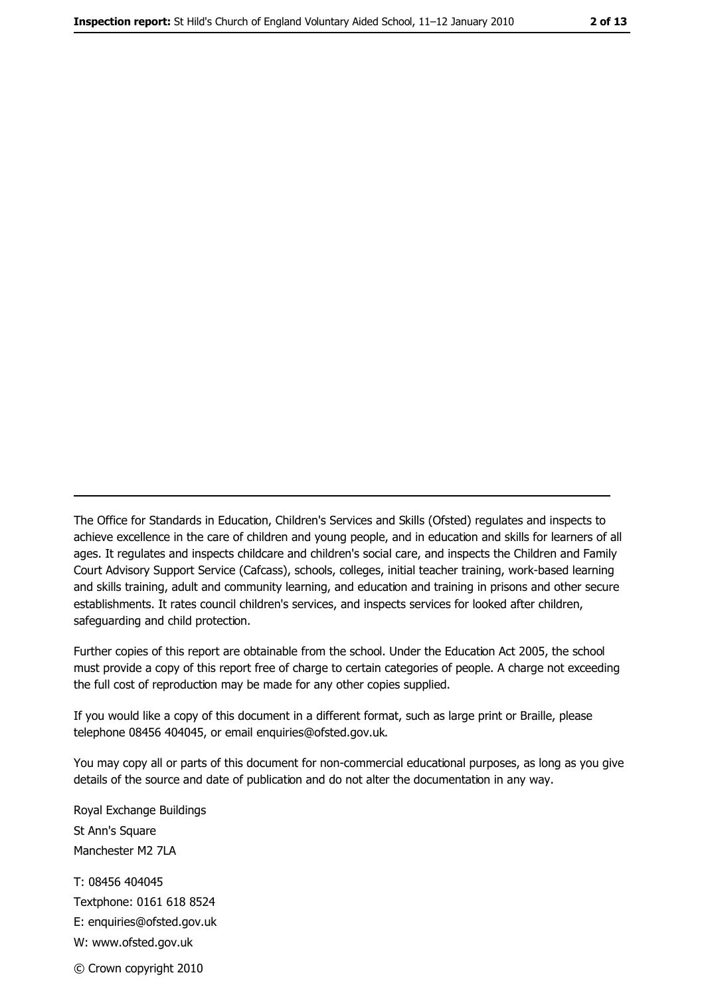The Office for Standards in Education, Children's Services and Skills (Ofsted) regulates and inspects to achieve excellence in the care of children and young people, and in education and skills for learners of all ages. It regulates and inspects childcare and children's social care, and inspects the Children and Family Court Advisory Support Service (Cafcass), schools, colleges, initial teacher training, work-based learning and skills training, adult and community learning, and education and training in prisons and other secure establishments. It rates council children's services, and inspects services for looked after children, safequarding and child protection.

Further copies of this report are obtainable from the school. Under the Education Act 2005, the school must provide a copy of this report free of charge to certain categories of people. A charge not exceeding the full cost of reproduction may be made for any other copies supplied.

If you would like a copy of this document in a different format, such as large print or Braille, please telephone 08456 404045, or email enquiries@ofsted.gov.uk.

You may copy all or parts of this document for non-commercial educational purposes, as long as you give details of the source and date of publication and do not alter the documentation in any way.

Royal Exchange Buildings St Ann's Square Manchester M2 7LA T: 08456 404045 Textphone: 0161 618 8524 E: enquiries@ofsted.gov.uk W: www.ofsted.gov.uk © Crown copyright 2010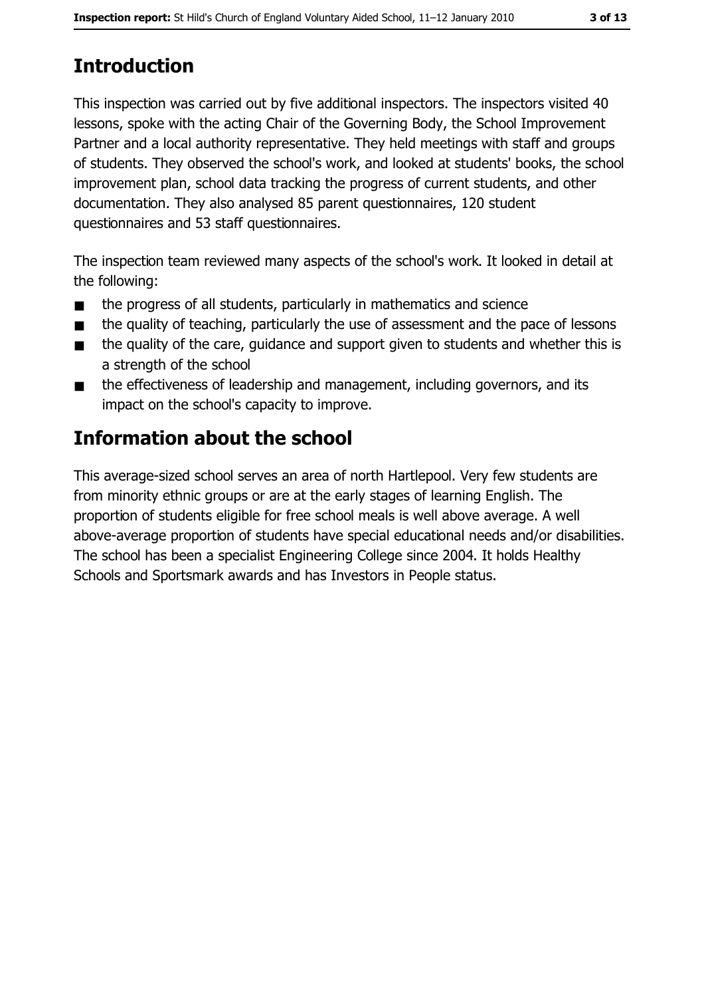# **Introduction**

This inspection was carried out by five additional inspectors. The inspectors visited 40 lessons, spoke with the acting Chair of the Governing Body, the School Improvement Partner and a local authority representative. They held meetings with staff and groups of students. They observed the school's work, and looked at students' books, the school improvement plan, school data tracking the progress of current students, and other documentation. They also analysed 85 parent questionnaires, 120 student questionnaires and 53 staff questionnaires.

The inspection team reviewed many aspects of the school's work. It looked in detail at the following:

- the progress of all students, particularly in mathematics and science  $\blacksquare$
- the quality of teaching, particularly the use of assessment and the pace of lessons  $\blacksquare$
- the quality of the care, quidance and support given to students and whether this is  $\blacksquare$ a strength of the school
- the effectiveness of leadership and management, including governors, and its  $\blacksquare$ impact on the school's capacity to improve.

# Information about the school

This average-sized school serves an area of north Hartlepool. Very few students are from minority ethnic groups or are at the early stages of learning English. The proportion of students eligible for free school meals is well above average. A well above-average proportion of students have special educational needs and/or disabilities. The school has been a specialist Engineering College since 2004. It holds Healthy Schools and Sportsmark awards and has Investors in People status.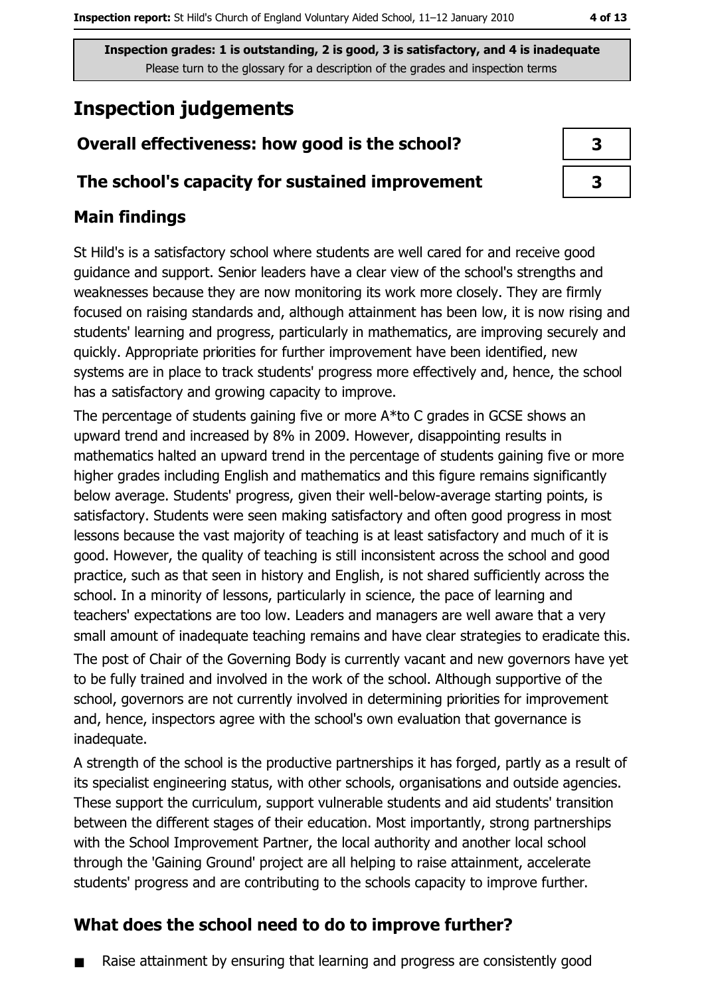# **Inspection judgements**

# Overall effectiveness: how good is the school?

### The school's capacity for sustained improvement

## **Main findings**

St Hild's is a satisfactory school where students are well cared for and receive good guidance and support. Senior leaders have a clear view of the school's strengths and weaknesses because they are now monitoring its work more closely. They are firmly focused on raising standards and, although attainment has been low, it is now rising and students' learning and progress, particularly in mathematics, are improving securely and quickly. Appropriate priorities for further improvement have been identified, new systems are in place to track students' progress more effectively and, hence, the school has a satisfactory and growing capacity to improve.

The percentage of students gaining five or more A\*to C grades in GCSE shows an upward trend and increased by 8% in 2009. However, disappointing results in mathematics halted an upward trend in the percentage of students gaining five or more higher grades including English and mathematics and this figure remains significantly below average. Students' progress, given their well-below-average starting points, is satisfactory. Students were seen making satisfactory and often good progress in most lessons because the vast majority of teaching is at least satisfactory and much of it is good. However, the quality of teaching is still inconsistent across the school and good practice, such as that seen in history and English, is not shared sufficiently across the school. In a minority of lessons, particularly in science, the pace of learning and teachers' expectations are too low. Leaders and managers are well aware that a very small amount of inadequate teaching remains and have clear strategies to eradicate this. The post of Chair of the Governing Body is currently vacant and new governors have yet to be fully trained and involved in the work of the school. Although supportive of the school, governors are not currently involved in determining priorities for improvement and, hence, inspectors agree with the school's own evaluation that governance is inadequate.

A strength of the school is the productive partnerships it has forged, partly as a result of its specialist engineering status, with other schools, organisations and outside agencies. These support the curriculum, support vulnerable students and aid students' transition between the different stages of their education. Most importantly, strong partnerships with the School Improvement Partner, the local authority and another local school through the 'Gaining Ground' project are all helping to raise attainment, accelerate students' progress and are contributing to the schools capacity to improve further.

# What does the school need to do to improve further?

Raise attainment by ensuring that learning and progress are consistently good

| 3 |  |
|---|--|
| 3 |  |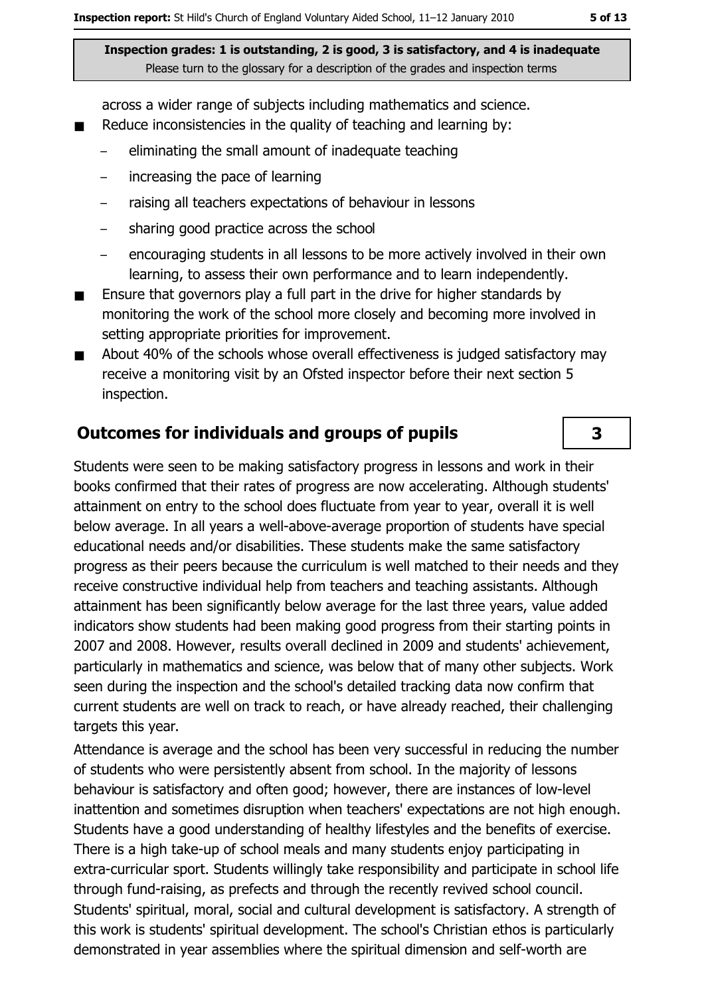across a wider range of subjects including mathematics and science.

- Reduce inconsistencies in the quality of teaching and learning by:  $\blacksquare$ 
	- eliminating the small amount of inadequate teaching
	- increasing the pace of learning  $\equiv$
	- raising all teachers expectations of behaviour in lessons
	- sharing good practice across the school  $-$
	- encouraging students in all lessons to be more actively involved in their own learning, to assess their own performance and to learn independently.
- Ensure that governors play a full part in the drive for higher standards by  $\blacksquare$ monitoring the work of the school more closely and becoming more involved in setting appropriate priorities for improvement.
- About 40% of the schools whose overall effectiveness is judged satisfactory may  $\blacksquare$ receive a monitoring visit by an Ofsted inspector before their next section 5 inspection.

#### **Outcomes for individuals and groups of pupils**

Students were seen to be making satisfactory progress in lessons and work in their books confirmed that their rates of progress are now accelerating. Although students' attainment on entry to the school does fluctuate from year to year, overall it is well below average. In all years a well-above-average proportion of students have special educational needs and/or disabilities. These students make the same satisfactory progress as their peers because the curriculum is well matched to their needs and they receive constructive individual help from teachers and teaching assistants. Although attainment has been significantly below average for the last three years, value added indicators show students had been making good progress from their starting points in 2007 and 2008. However, results overall declined in 2009 and students' achievement, particularly in mathematics and science, was below that of many other subjects. Work seen during the inspection and the school's detailed tracking data now confirm that current students are well on track to reach, or have already reached, their challenging targets this year.

Attendance is average and the school has been very successful in reducing the number of students who were persistently absent from school. In the majority of lessons behaviour is satisfactory and often good; however, there are instances of low-level inattention and sometimes disruption when teachers' expectations are not high enough. Students have a good understanding of healthy lifestyles and the benefits of exercise. There is a high take-up of school meals and many students enjoy participating in extra-curricular sport. Students willingly take responsibility and participate in school life through fund-raising, as prefects and through the recently revived school council. Students' spiritual, moral, social and cultural development is satisfactory. A strength of this work is students' spiritual development. The school's Christian ethos is particularly demonstrated in year assemblies where the spiritual dimension and self-worth are

 $\overline{\mathbf{3}}$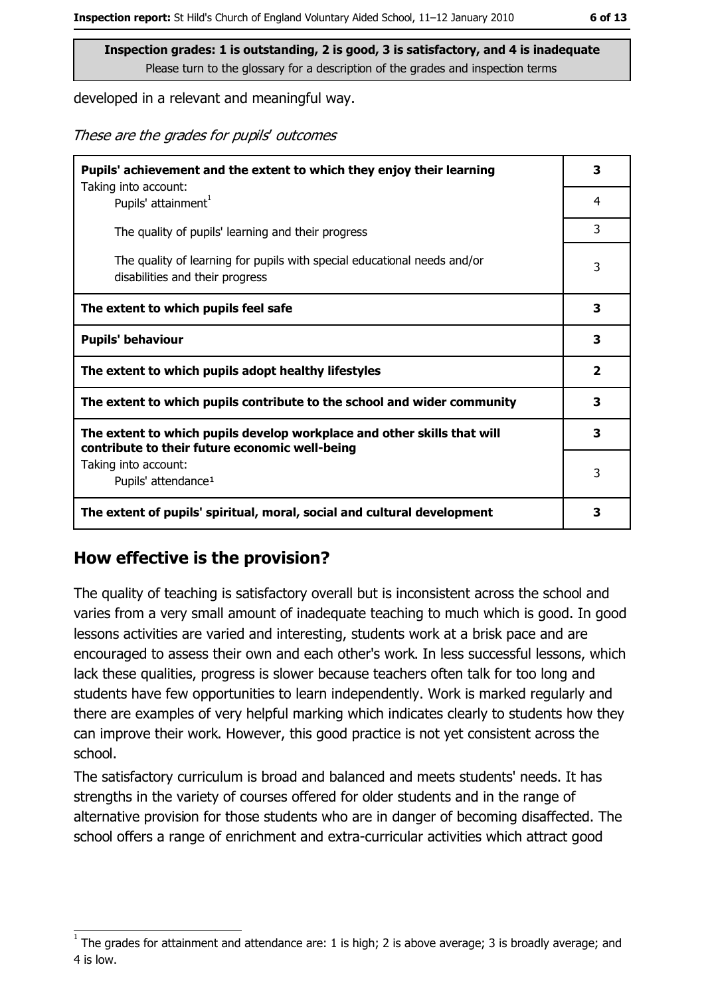developed in a relevant and meaningful way.

These are the grades for pupils' outcomes

| Pupils' achievement and the extent to which they enjoy their learning                                                     |                         |
|---------------------------------------------------------------------------------------------------------------------------|-------------------------|
| Taking into account:<br>Pupils' attainment <sup>1</sup>                                                                   | 4                       |
| The quality of pupils' learning and their progress                                                                        | 3                       |
| The quality of learning for pupils with special educational needs and/or<br>disabilities and their progress               | 3                       |
| The extent to which pupils feel safe                                                                                      | 3                       |
| <b>Pupils' behaviour</b>                                                                                                  | 3                       |
| The extent to which pupils adopt healthy lifestyles                                                                       | $\overline{\mathbf{2}}$ |
| The extent to which pupils contribute to the school and wider community                                                   | 3                       |
| The extent to which pupils develop workplace and other skills that will<br>contribute to their future economic well-being | 3                       |
| Taking into account:<br>Pupils' attendance <sup>1</sup>                                                                   | 3                       |
| The extent of pupils' spiritual, moral, social and cultural development                                                   | 3                       |

## How effective is the provision?

The quality of teaching is satisfactory overall but is inconsistent across the school and varies from a very small amount of inadequate teaching to much which is good. In good lessons activities are varied and interesting, students work at a brisk pace and are encouraged to assess their own and each other's work. In less successful lessons, which lack these qualities, progress is slower because teachers often talk for too long and students have few opportunities to learn independently. Work is marked regularly and there are examples of very helpful marking which indicates clearly to students how they can improve their work. However, this good practice is not yet consistent across the school.

The satisfactory curriculum is broad and balanced and meets students' needs. It has strengths in the variety of courses offered for older students and in the range of alternative provision for those students who are in danger of becoming disaffected. The school offers a range of enrichment and extra-curricular activities which attract good

The grades for attainment and attendance are: 1 is high; 2 is above average; 3 is broadly average; and 4 is low.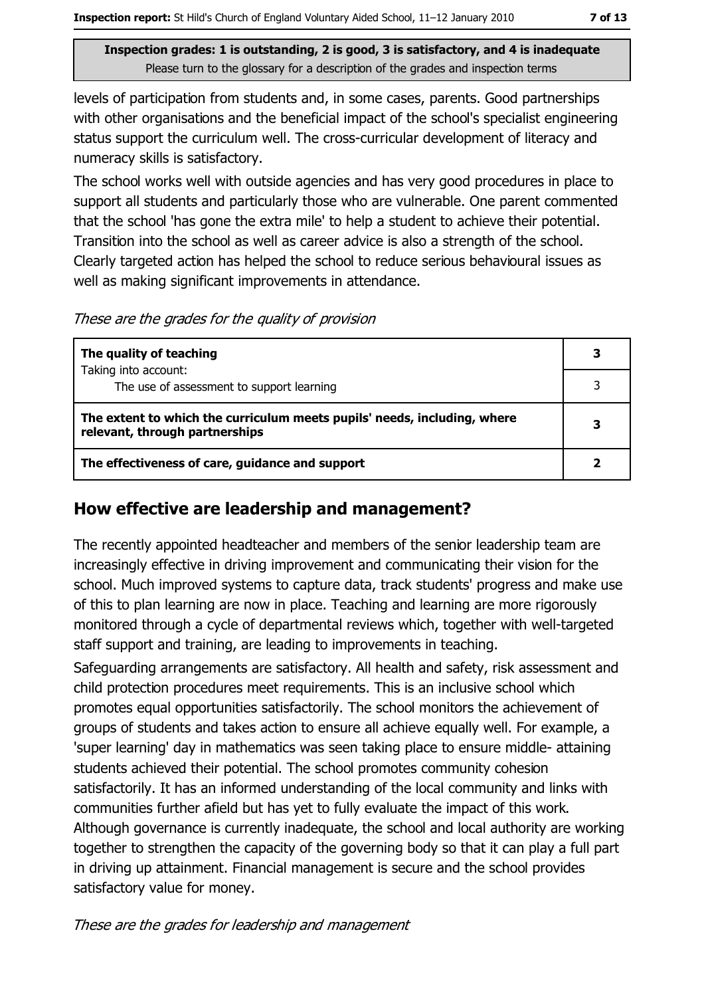levels of participation from students and, in some cases, parents. Good partnerships with other organisations and the beneficial impact of the school's specialist engineering status support the curriculum well. The cross-curricular development of literacy and numeracy skills is satisfactory.

The school works well with outside agencies and has very good procedures in place to support all students and particularly those who are vulnerable. One parent commented that the school 'has gone the extra mile' to help a student to achieve their potential. Transition into the school as well as career advice is also a strength of the school. Clearly targeted action has helped the school to reduce serious behavioural issues as well as making significant improvements in attendance.

These are the grades for the quality of provision

| The quality of teaching                                                                                    | 3 |
|------------------------------------------------------------------------------------------------------------|---|
| Taking into account:                                                                                       |   |
| The use of assessment to support learning                                                                  |   |
| The extent to which the curriculum meets pupils' needs, including, where<br>relevant, through partnerships | 3 |
| The effectiveness of care, guidance and support                                                            |   |

## How effective are leadership and management?

The recently appointed headteacher and members of the senior leadership team are increasingly effective in driving improvement and communicating their vision for the school. Much improved systems to capture data, track students' progress and make use of this to plan learning are now in place. Teaching and learning are more rigorously monitored through a cycle of departmental reviews which, together with well-targeted staff support and training, are leading to improvements in teaching.

Safeguarding arrangements are satisfactory. All health and safety, risk assessment and child protection procedures meet requirements. This is an inclusive school which promotes equal opportunities satisfactorily. The school monitors the achievement of groups of students and takes action to ensure all achieve equally well. For example, a 'super learning' day in mathematics was seen taking place to ensure middle- attaining students achieved their potential. The school promotes community cohesion satisfactorily. It has an informed understanding of the local community and links with communities further afield but has yet to fully evaluate the impact of this work. Although governance is currently inadequate, the school and local authority are working together to strengthen the capacity of the governing body so that it can play a full part in driving up attainment. Financial management is secure and the school provides satisfactory value for money.

These are the grades for leadership and management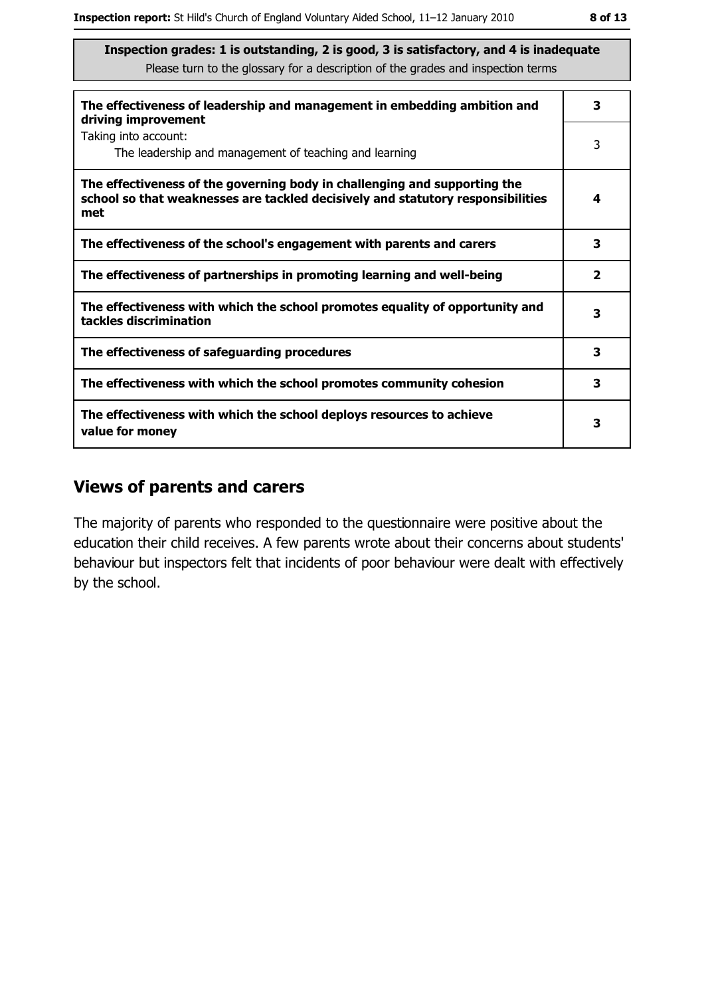| The effectiveness of leadership and management in embedding ambition and<br>driving improvement                                                                     | 3            |
|---------------------------------------------------------------------------------------------------------------------------------------------------------------------|--------------|
| Taking into account:<br>The leadership and management of teaching and learning                                                                                      | 3            |
| The effectiveness of the governing body in challenging and supporting the<br>school so that weaknesses are tackled decisively and statutory responsibilities<br>met | 4            |
| The effectiveness of the school's engagement with parents and carers                                                                                                | 3            |
| The effectiveness of partnerships in promoting learning and well-being                                                                                              | $\mathbf{2}$ |
| The effectiveness with which the school promotes equality of opportunity and<br>tackles discrimination                                                              | 3            |
| The effectiveness of safeguarding procedures                                                                                                                        | 3            |
| The effectiveness with which the school promotes community cohesion                                                                                                 | 3            |
| The effectiveness with which the school deploys resources to achieve<br>value for money                                                                             | 3            |

#### **Views of parents and carers**

The majority of parents who responded to the questionnaire were positive about the education their child receives. A few parents wrote about their concerns about students' behaviour but inspectors felt that incidents of poor behaviour were dealt with effectively by the school.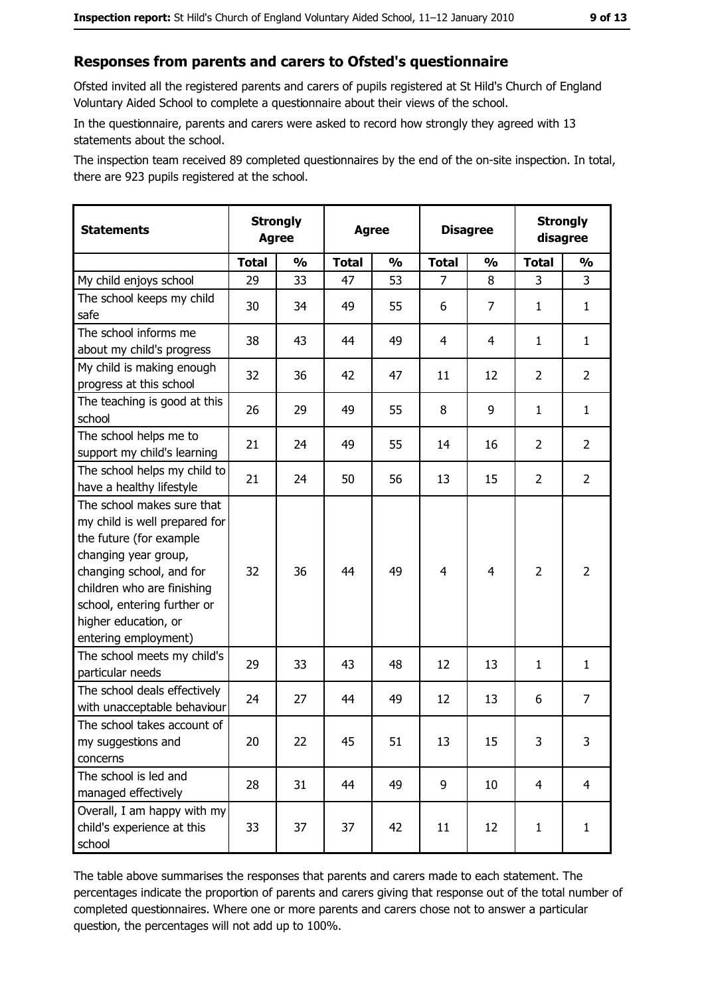#### Responses from parents and carers to Ofsted's questionnaire

Ofsted invited all the registered parents and carers of pupils registered at St Hild's Church of England Voluntary Aided School to complete a questionnaire about their views of the school.

In the questionnaire, parents and carers were asked to record how strongly they agreed with 13 statements about the school.

The inspection team received 89 completed questionnaires by the end of the on-site inspection. In total, there are 923 pupils registered at the school.

| <b>Statements</b>                                                                                                                                                                                                                                       | <b>Strongly</b><br><b>Agree</b> |               | <b>Agree</b> |               | <b>Disagree</b> |                | <b>Strongly</b><br>disagree |                |
|---------------------------------------------------------------------------------------------------------------------------------------------------------------------------------------------------------------------------------------------------------|---------------------------------|---------------|--------------|---------------|-----------------|----------------|-----------------------------|----------------|
|                                                                                                                                                                                                                                                         | <b>Total</b>                    | $\frac{1}{2}$ | <b>Total</b> | $\frac{0}{0}$ | <b>Total</b>    | $\frac{1}{2}$  | <b>Total</b>                | $\frac{1}{2}$  |
| My child enjoys school                                                                                                                                                                                                                                  | 29                              | 33            | 47           | 53            | $\overline{7}$  | 8              | 3                           | 3              |
| The school keeps my child<br>safe                                                                                                                                                                                                                       | 30                              | 34            | 49           | 55            | 6               | $\overline{7}$ | 1                           | $\mathbf{1}$   |
| The school informs me<br>about my child's progress                                                                                                                                                                                                      | 38                              | 43            | 44           | 49            | 4               | 4              | 1                           | $\mathbf{1}$   |
| My child is making enough<br>progress at this school                                                                                                                                                                                                    | 32                              | 36            | 42           | 47            | 11              | 12             | $\overline{2}$              | $\overline{2}$ |
| The teaching is good at this<br>school                                                                                                                                                                                                                  | 26                              | 29            | 49           | 55            | 8               | 9              | 1                           | $\mathbf{1}$   |
| The school helps me to<br>support my child's learning                                                                                                                                                                                                   | 21                              | 24            | 49           | 55            | 14              | 16             | $\overline{2}$              | $\overline{2}$ |
| The school helps my child to<br>have a healthy lifestyle                                                                                                                                                                                                | 21                              | 24            | 50           | 56            | 13              | 15             | $\overline{2}$              | $\overline{2}$ |
| The school makes sure that<br>my child is well prepared for<br>the future (for example<br>changing year group,<br>changing school, and for<br>children who are finishing<br>school, entering further or<br>higher education, or<br>entering employment) | 32                              | 36            | 44           | 49            | $\overline{4}$  | 4              | $\overline{2}$              | $\overline{2}$ |
| The school meets my child's<br>particular needs                                                                                                                                                                                                         | 29                              | 33            | 43           | 48            | 12              | 13             | 1                           | $\mathbf{1}$   |
| The school deals effectively<br>with unacceptable behaviour                                                                                                                                                                                             | 24                              | 27            | 44           | 49            | 12              | 13             | 6                           | $\overline{7}$ |
| The school takes account of<br>my suggestions and<br>concerns                                                                                                                                                                                           | 20                              | 22            | 45           | 51            | 13              | 15             | 3                           | 3              |
| The school is led and<br>managed effectively                                                                                                                                                                                                            | 28                              | 31            | 44           | 49            | 9               | 10             | $\overline{4}$              | $\overline{4}$ |
| Overall, I am happy with my<br>child's experience at this<br>school                                                                                                                                                                                     | 33                              | 37            | 37           | 42            | 11              | 12             | $\mathbf{1}$                | $\mathbf{1}$   |

The table above summarises the responses that parents and carers made to each statement. The percentages indicate the proportion of parents and carers giving that response out of the total number of completed questionnaires. Where one or more parents and carers chose not to answer a particular question, the percentages will not add up to 100%.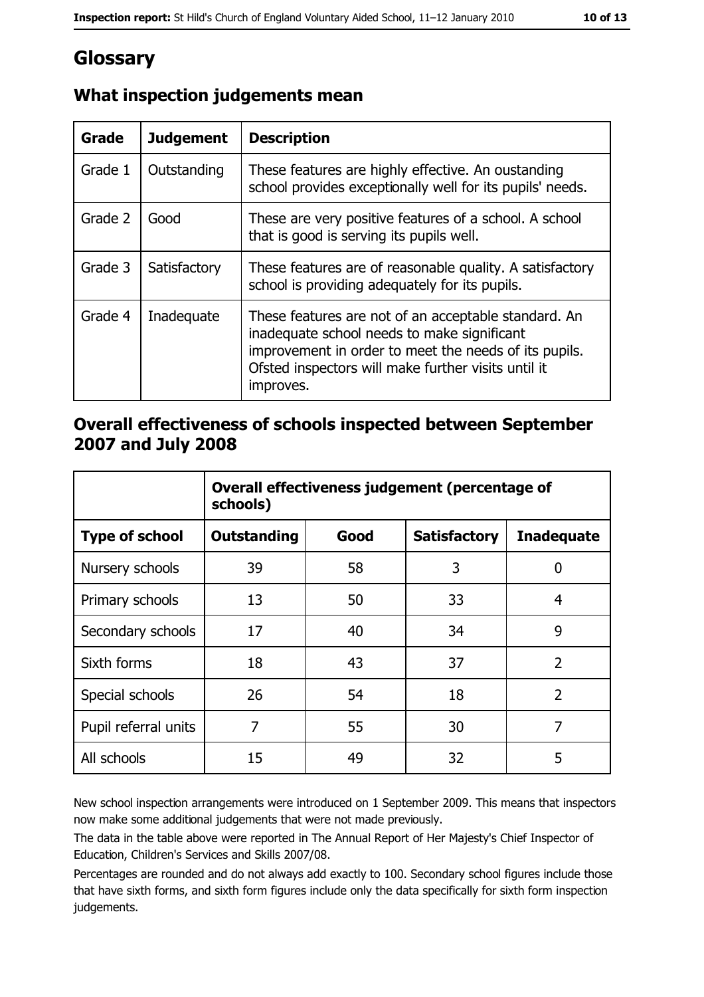# Glossary

| Grade   | <b>Judgement</b> | <b>Description</b>                                                                                                                                                                                                               |
|---------|------------------|----------------------------------------------------------------------------------------------------------------------------------------------------------------------------------------------------------------------------------|
| Grade 1 | Outstanding      | These features are highly effective. An oustanding<br>school provides exceptionally well for its pupils' needs.                                                                                                                  |
| Grade 2 | Good             | These are very positive features of a school. A school<br>that is good is serving its pupils well.                                                                                                                               |
| Grade 3 | Satisfactory     | These features are of reasonable quality. A satisfactory<br>school is providing adequately for its pupils.                                                                                                                       |
| Grade 4 | Inadequate       | These features are not of an acceptable standard. An<br>inadequate school needs to make significant<br>improvement in order to meet the needs of its pupils.<br>Ofsted inspectors will make further visits until it<br>improves. |

# What inspection judgements mean

## Overall effectiveness of schools inspected between September 2007 and July 2008

|                       | Overall effectiveness judgement (percentage of<br>schools) |      |                     |                   |
|-----------------------|------------------------------------------------------------|------|---------------------|-------------------|
| <b>Type of school</b> | Outstanding                                                | Good | <b>Satisfactory</b> | <b>Inadequate</b> |
| Nursery schools       | 39                                                         | 58   | 3                   | 0                 |
| Primary schools       | 13                                                         | 50   | 33                  | 4                 |
| Secondary schools     | 17                                                         | 40   | 34                  | 9                 |
| Sixth forms           | 18                                                         | 43   | 37                  | $\overline{2}$    |
| Special schools       | 26                                                         | 54   | 18                  | $\overline{2}$    |
| Pupil referral units  | 7                                                          | 55   | 30                  | 7                 |
| All schools           | 15                                                         | 49   | 32                  | 5                 |

New school inspection arrangements were introduced on 1 September 2009. This means that inspectors now make some additional judgements that were not made previously.

The data in the table above were reported in The Annual Report of Her Majesty's Chief Inspector of Education, Children's Services and Skills 2007/08.

Percentages are rounded and do not always add exactly to 100. Secondary school figures include those that have sixth forms, and sixth form figures include only the data specifically for sixth form inspection judgements.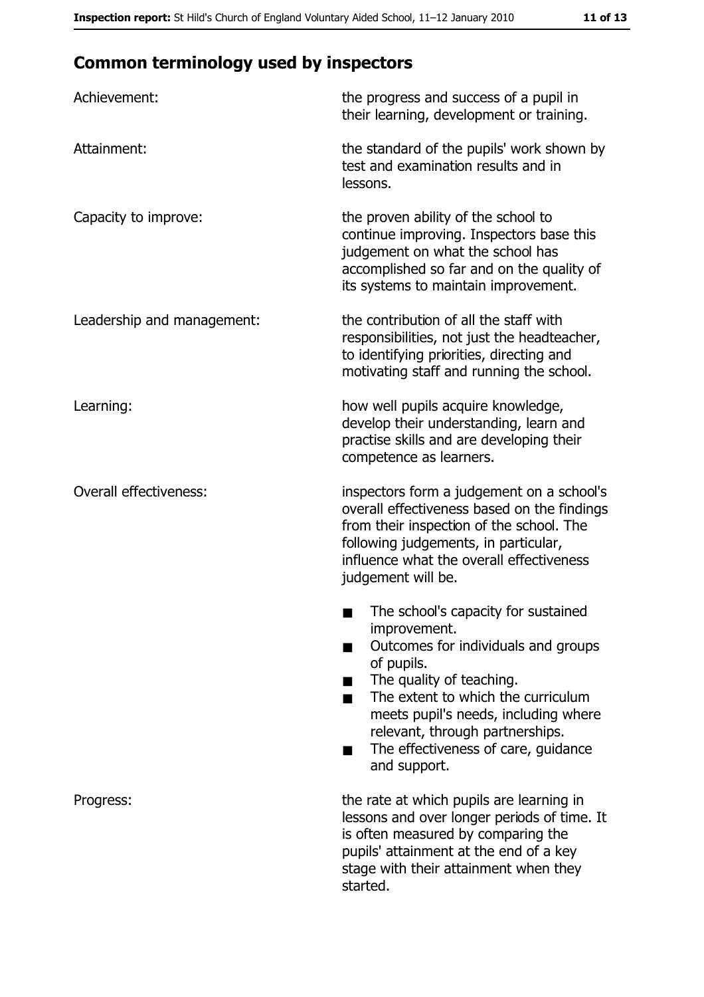# **Common terminology used by inspectors**

| Achievement:                  | the progress and success of a pupil in<br>their learning, development or training.                                                                                                                                                                                                                           |
|-------------------------------|--------------------------------------------------------------------------------------------------------------------------------------------------------------------------------------------------------------------------------------------------------------------------------------------------------------|
| Attainment:                   | the standard of the pupils' work shown by<br>test and examination results and in<br>lessons.                                                                                                                                                                                                                 |
| Capacity to improve:          | the proven ability of the school to<br>continue improving. Inspectors base this<br>judgement on what the school has<br>accomplished so far and on the quality of<br>its systems to maintain improvement.                                                                                                     |
| Leadership and management:    | the contribution of all the staff with<br>responsibilities, not just the headteacher,<br>to identifying priorities, directing and<br>motivating staff and running the school.                                                                                                                                |
| Learning:                     | how well pupils acquire knowledge,<br>develop their understanding, learn and<br>practise skills and are developing their<br>competence as learners.                                                                                                                                                          |
| <b>Overall effectiveness:</b> | inspectors form a judgement on a school's<br>overall effectiveness based on the findings<br>from their inspection of the school. The<br>following judgements, in particular,<br>influence what the overall effectiveness<br>judgement will be.                                                               |
|                               | The school's capacity for sustained<br>improvement.<br>Outcomes for individuals and groups<br>of pupils.<br>The quality of teaching.<br>The extent to which the curriculum<br>meets pupil's needs, including where<br>relevant, through partnerships.<br>The effectiveness of care, guidance<br>and support. |
| Progress:                     | the rate at which pupils are learning in<br>lessons and over longer periods of time. It<br>is often measured by comparing the<br>pupils' attainment at the end of a key<br>stage with their attainment when they<br>started.                                                                                 |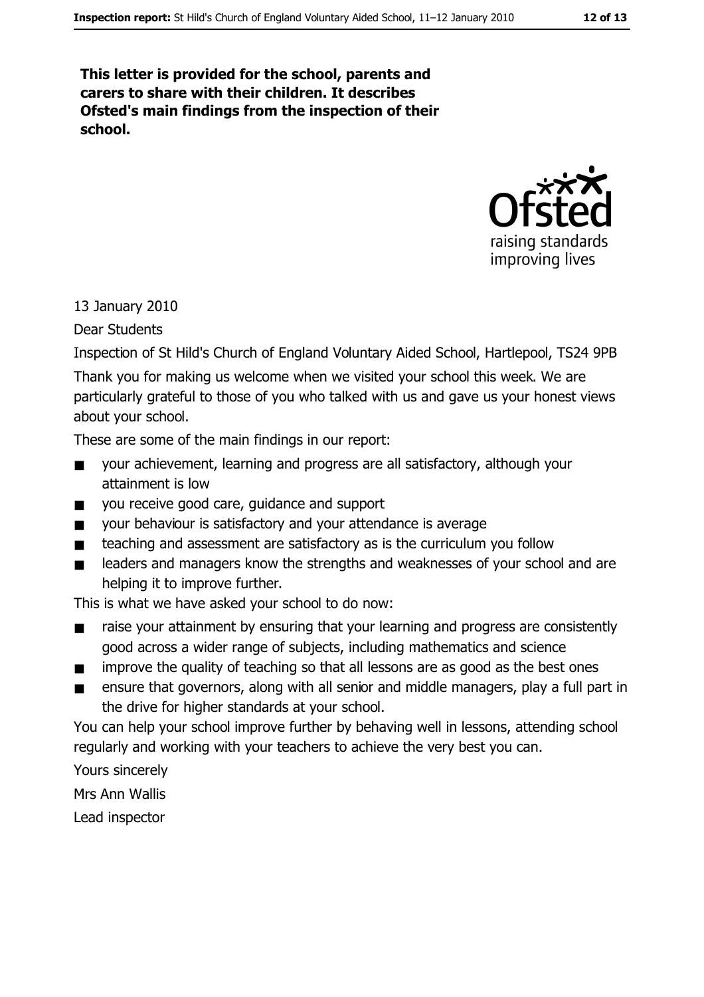This letter is provided for the school, parents and carers to share with their children. It describes Ofsted's main findings from the inspection of their school.



13 January 2010

**Dear Students** 

Inspection of St Hild's Church of England Voluntary Aided School, Hartlepool, TS24 9PB

Thank you for making us welcome when we visited your school this week. We are particularly grateful to those of you who talked with us and gave us your honest views about your school.

These are some of the main findings in our report:

- your achievement, learning and progress are all satisfactory, although your  $\blacksquare$ attainment is low
- you receive good care, guidance and support  $\blacksquare$
- $\blacksquare$ your behaviour is satisfactory and your attendance is average
- teaching and assessment are satisfactory as is the curriculum you follow  $\blacksquare$
- leaders and managers know the strengths and weaknesses of your school and are  $\blacksquare$ helping it to improve further.

This is what we have asked your school to do now:

- raise your attainment by ensuring that your learning and progress are consistently good across a wider range of subjects, including mathematics and science
- improve the quality of teaching so that all lessons are as good as the best ones  $\blacksquare$
- ensure that governors, along with all senior and middle managers, play a full part in  $\blacksquare$ the drive for higher standards at your school.

You can help your school improve further by behaving well in lessons, attending school regularly and working with your teachers to achieve the very best you can.

Yours sincerely

Mrs Ann Wallis

Lead inspector